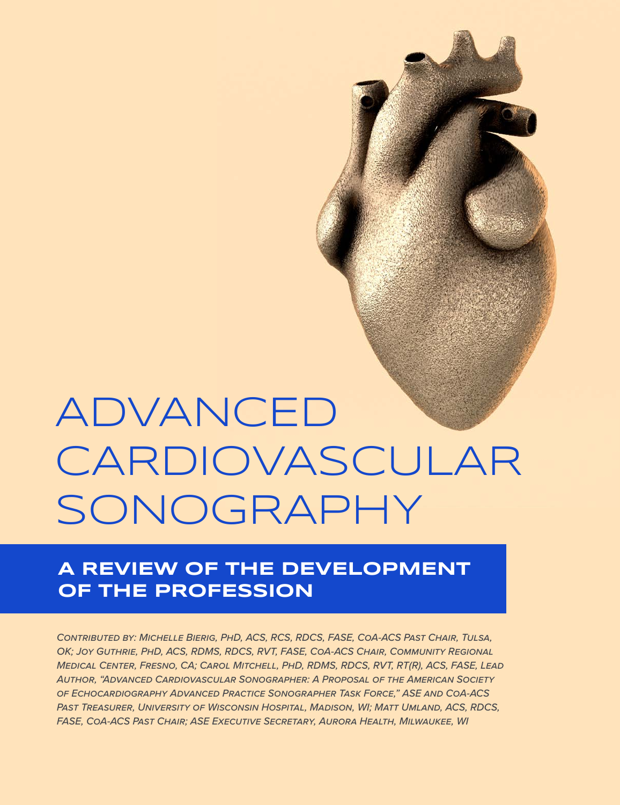# ADVANCED CARDIOVASCULAR SONOGRAPHY

# **A REVIEW OF THE DEVELOPMENT OF THE PROFESSION**

*Contributed by: Michelle Bierig, PhD, ACS, RCS, RDCS, FASE, CoA-ACS Past Chair, Tulsa, OK; Joy Guthrie, PhD, ACS, RDMS, RDCS, RVT, FASE, CoA-ACS Chair, Community Regional Medical Center, Fresno, CA; Carol Mitchell, PhD, RDMS, RDCS, RVT, RT(R), ACS, FASE, Lead Author, "Advanced Cardiovascular Sonographer: A Proposal of the American Society of Echocardiography Advanced Practice Sonographer Task Force," ASE and CoA-ACS Past Treasurer, University of Wisconsin Hospital, Madison, WI; Matt Umland, ACS, RDCS, FASE, CoA-ACS Past Chair; ASE Executive Secretary, Aurora Health, Milwaukee, WI*

**34**ECHO VOLUME 10 ISSUE 1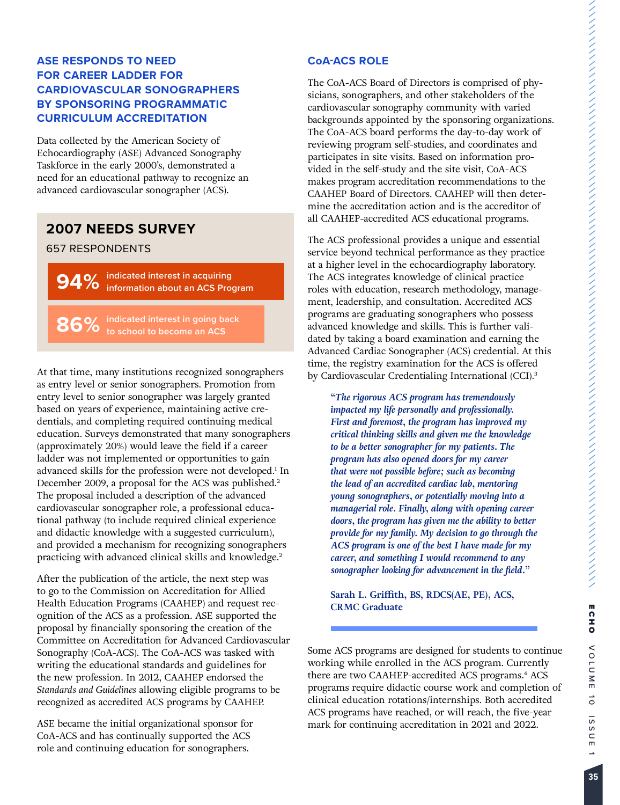# **ASE RESPONDS TO NEED FOR CAREER LADDER FOR CARDIOVASCULAR SONOGRAPHERS BY SPONSORING PROGRAMMATIC CURRICULUM ACCREDITATION**

Data collected by the American Society of Echocardiography (ASE) Advanced Sonography Taskforce in the early 2000's, demonstrated a need for an educational pathway to recognize an advanced cardiovascular sonographer (ACS).

# **2007 NEEDS SURVEY**

#### 657 RESPONDENTS

**94% indicated interest in acquiring information about an ACS Program**

**86% indicated interest in going back to school to become an ACS**

At that time, many institutions recognized sonographers as entry level or senior sonographers. Promotion from entry level to senior sonographer was largely granted based on years of experience, maintaining active credentials, and completing required continuing medical education. Surveys demonstrated that many sonographers (approximately 20%) would leave the field if a career ladder was not implemented or opportunities to gain advanced skills for the profession were not developed.<sup>1</sup> In December 2009, a proposal for the ACS was published.<sup>2</sup> The proposal included a description of the advanced cardiovascular sonographer role, a professional educational pathway (to include required clinical experience and didactic knowledge with a suggested curriculum), and provided a mechanism for recognizing sonographers practicing with advanced clinical skills and knowledge.<sup>2</sup>

After the publication of the article, the next step was to go to the Commission on Accreditation for Allied Health Education Programs (CAAHEP) and request recognition of the ACS as a profession. ASE supported the proposal by financially sponsoring the creation of the Committee on Accreditation for Advanced Cardiovascular Sonography (CoA-ACS). The CoA-ACS was tasked with writing the educational standards and guidelines for the new profession. In 2012, CAAHEP endorsed the *Standards and Guidelines* allowing eligible programs to be recognized as accredited ACS programs by CAAHEP.

ASE became the initial organizational sponsor for CoA-ACS and has continually supported the ACS role and continuing education for sonographers.

# **CoA-ACS ROLE**

The CoA-ACS Board of Directors is comprised of physicians, sonographers, and other stakeholders of the cardiovascular sonography community with varied backgrounds appointed by the sponsoring organizations. The CoA-ACS board performs the day-to-day work of reviewing program self-studies, and coordinates and participates in site visits. Based on information provided in the self-study and the site visit, CoA-ACS makes program accreditation recommendations to the CAAHEP Board of Directors. CAAHEP will then determine the accreditation action and is the accreditor of all CAAHEP-accredited ACS educational programs.

The ACS professional provides a unique and essential service beyond technical performance as they practice at a higher level in the echocardiography laboratory. The ACS integrates knowledge of clinical practice roles with education, research methodology, management, leadership, and consultation. Accredited ACS programs are graduating sonographers who possess advanced knowledge and skills. This is further validated by taking a board examination and earning the Advanced Cardiac Sonographer (ACS) credential. At this time, the registry examination for the ACS is offered by Cardiovascular Credentialing International (CCI).<sup>3</sup>

*"The rigorous ACS program has tremendously impacted my life personally and professionally. First and foremost, the program has improved my critical thinking skills and given me the knowledge to be a better sonographer for my patients. The program has also opened doors for my career that were not possible before; such as becoming the lead of an accredited cardiac lab, mentoring young sonographers, or potentially moving into a managerial role. Finally, along with opening career doors, the program has given me the ability to better provide for my family. My decision to go through the ACS program is one of the best I have made for my career, and something I would recommend to any sonographer looking for advancement in the field."*

**Sarah L. Griffith, BS, RDCS(AE, PE), ACS, CRMC Graduate**

Some ACS programs are designed for students to continue working while enrolled in the ACS program. Currently there are two CAAHEP-accredited ACS programs.<sup>4</sup> ACS programs require didactic course work and completion of clinical education rotations/internships. Both accredited ACS programs have reached, or will reach, the five-year mark for continuing accreditation in 2021 and 2022.